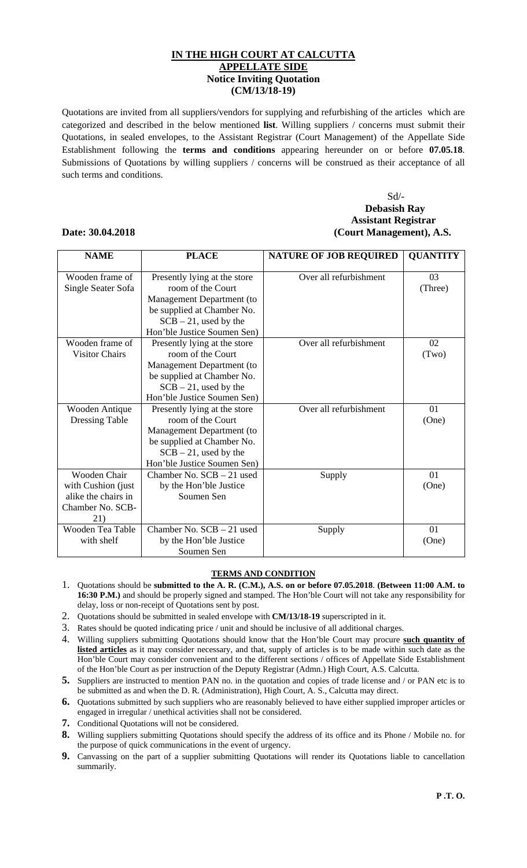## **IN THE HIGH COURT AT CALCUTTA APPELLATE SIDE Notice Inviting Quotation (CM/13/18-19)**

Quotations are invited from all suppliers/vendors for supplying and refurbishing of the articles which are categorized and described in the below mentioned **list**. Willing suppliers / concerns must submit their Quotations, in sealed envelopes, to the Assistant Registrar (Court Management) of the Appellate Side Establishment following the **terms and conditions** appearing hereunder on or before **07.05.18**. Submissions of Quotations by willing suppliers / concerns will be construed as their acceptance of all such terms and conditions.

## Sd/- **Debasish Ray Assistant Registrar Date: 30.04.2018 (Court Management), A.S.**

## **NAME PLACE PLACE NATURE OF JOB REQUIRED | QUANTITY** Wooden frame of Single Seater Sofa Presently lying at the store room of the Court Management Department (to be supplied at Chamber No.  $SCB - 21$ , used by the Hon'ble Justice Soumen Sen) Over all refurbishment 1 03 (Three) Wooden frame of Visitor Chairs Presently lying at the store room of the Court Management Department (to be supplied at Chamber No.  $SCB - 21$ , used by the Hon'ble Justice Soumen Sen) Over all refurbishment  $\vert$  02 (Two) Wooden Antique Dressing Table Presently lying at the store room of the Court Management Department (to be supplied at Chamber No.  $SCB - 21$ , used by the Hon'ble Justice Soumen Sen) Over all refurbishment 01 (One) Wooden Chair with Cushion (just alike the chairs in Chamber No. SCB-21) Chamber No. SCB – 21 used by the Hon'ble Justice Soumen Sen Supply 01 (One) Wooden Tea Table with shelf Chamber No. SCB – 21 used by the Hon'ble Justice Soumen Sen Supply 01 (One)

## **TERMS AND CONDITION**

- 1. Quotations should be **submitted to the A. R. (C.M.), A.S. on or before 07.05.2018**. **(Between 11:00 A.M. to 16:30 P.M.)** and should be properly signed and stamped. The Hon'ble Court will not take any responsibility for delay, loss or non-receipt of Quotations sent by post.
- 2. Quotations should be submitted in sealed envelope with **CM/13/18-19** superscripted in it.
- 3. Rates should be quoted indicating price / unit and should be inclusive of all additional charges.
- 4. Willing suppliers submitting Quotations should know that the Hon'ble Court may procure **such quantity of listed articles** as it may consider necessary, and that, supply of articles is to be made within such date as the Hon'ble Court may consider convenient and to the different sections / offices of Appellate Side Establishment of the Hon'ble Court as per instruction of the Deputy Registrar (Admn.) High Court, A.S. Calcutta.
- **5.** Suppliers are instructed to mention PAN no. in the quotation and copies of trade license and / or PAN etc is to be submitted as and when the D. R. (Administration), High Court, A. S., Calcutta may direct.
- **6.** Quotations submitted by such suppliers who are reasonably believed to have either supplied improper articles or engaged in irregular / unethical activities shall not be considered.
- **7.** Conditional Quotations will not be considered.

- **8.** Willing suppliers submitting Quotations should specify the address of its office and its Phone / Mobile no. for the purpose of quick communications in the event of urgency.
- **9.** Canvassing on the part of a supplier submitting Quotations will render its Quotations liable to cancellation summarily.